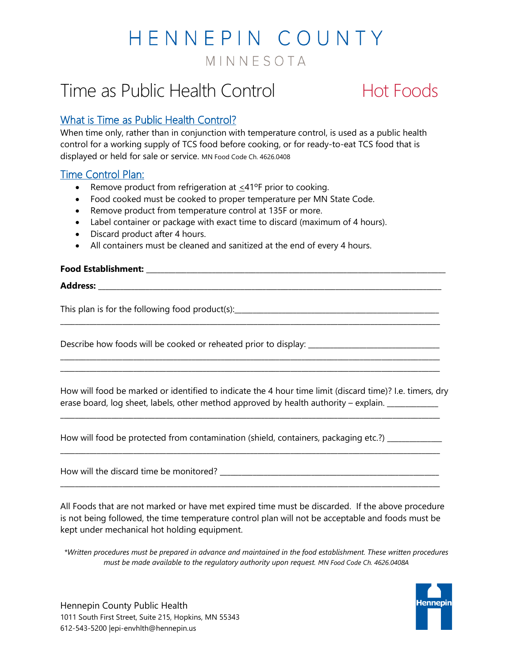# HENNEPIN COUNTY MINNESOTA

## Time as Public Health Control **Hot Foods**

### What is Time as Public Health Control?

When time only, rather than in conjunction with temperature control, is used as a public health control for a working supply of TCS food before cooking, or for ready-to-eat TCS food that is displayed or held for sale or service. MN Food Code Ch. 4626.0408

### **Time Control Plan:**

- Remove product from refrigeration at  $\leq 41^{\circ}$ F prior to cooking.
- Food cooked must be cooked to proper temperature per MN State Code.
- Remove product from temperature control at 135F or more.
- Label container or package with exact time to discard (maximum of 4 hours).
- Discard product after 4 hours.
- All containers must be cleaned and sanitized at the end of every 4 hours.

#### **Food Establishment:** \_\_\_\_\_\_\_\_\_\_\_\_\_\_\_\_\_\_\_\_\_\_\_\_\_\_\_\_\_\_\_\_\_\_\_\_\_\_\_\_\_\_\_\_\_\_\_\_\_\_\_\_\_\_\_\_\_\_\_\_\_\_\_\_\_\_\_\_\_\_\_\_\_\_\_\_\_\_\_\_\_\_

**Address:** \_\_\_\_\_\_\_\_\_\_\_\_\_\_\_\_\_\_\_\_\_\_\_\_\_\_\_\_\_\_\_\_\_\_\_\_\_\_\_\_\_\_\_\_\_\_\_\_\_\_\_\_\_\_\_\_\_\_\_\_\_\_\_\_\_\_\_\_\_\_\_\_\_\_\_\_\_\_\_\_\_\_\_\_\_\_\_\_\_\_\_\_\_\_

This plan is for the following food product(s):

Describe how foods will be cooked or reheated prior to display:

How will food be marked or identified to indicate the 4 hour time limit (discard time)? I.e. timers, dry erase board, log sheet, labels, other method approved by health authority – explain.

\_\_\_\_\_\_\_\_\_\_\_\_\_\_\_\_\_\_\_\_\_\_\_\_\_\_\_\_\_\_\_\_\_\_\_\_\_\_\_\_\_\_\_\_\_\_\_\_\_\_\_\_\_\_\_\_\_\_\_\_\_\_\_\_\_\_\_\_\_\_\_\_\_\_\_\_\_\_\_\_\_\_\_\_\_\_\_\_\_\_\_\_\_\_\_\_\_\_\_\_\_\_\_\_

\_\_\_\_\_\_\_\_\_\_\_\_\_\_\_\_\_\_\_\_\_\_\_\_\_\_\_\_\_\_\_\_\_\_\_\_\_\_\_\_\_\_\_\_\_\_\_\_\_\_\_\_\_\_\_\_\_\_\_\_\_\_\_\_\_\_\_\_\_\_\_\_\_\_\_\_\_\_\_\_\_\_\_\_\_\_\_\_\_\_\_\_\_\_\_\_\_\_\_\_\_\_\_\_

\_\_\_\_\_\_\_\_\_\_\_\_\_\_\_\_\_\_\_\_\_\_\_\_\_\_\_\_\_\_\_\_\_\_\_\_\_\_\_\_\_\_\_\_\_\_\_\_\_\_\_\_\_\_\_\_\_\_\_\_\_\_\_\_\_\_\_\_\_\_\_\_\_\_\_\_\_\_\_\_\_\_\_\_\_\_\_\_\_\_\_\_\_\_\_\_\_\_\_\_\_\_\_\_

\_\_\_\_\_\_\_\_\_\_\_\_\_\_\_\_\_\_\_\_\_\_\_\_\_\_\_\_\_\_\_\_\_\_\_\_\_\_\_\_\_\_\_\_\_\_\_\_\_\_\_\_\_\_\_\_\_\_\_\_\_\_\_\_\_\_\_\_\_\_\_\_\_\_\_\_\_\_\_\_\_\_\_\_\_\_\_\_\_\_\_\_\_\_\_\_\_\_\_\_\_\_\_\_

\_\_\_\_\_\_\_\_\_\_\_\_\_\_\_\_\_\_\_\_\_\_\_\_\_\_\_\_\_\_\_\_\_\_\_\_\_\_\_\_\_\_\_\_\_\_\_\_\_\_\_\_\_\_\_\_\_\_\_\_\_\_\_\_\_\_\_\_\_\_\_\_\_\_\_\_\_\_\_\_\_\_\_\_\_\_\_\_\_\_\_\_\_\_\_\_\_\_\_\_\_\_\_\_ \_\_\_\_\_\_\_\_\_\_\_\_\_\_\_\_\_\_\_\_\_\_\_\_\_\_\_\_\_\_\_\_\_\_\_\_\_\_\_\_\_\_\_\_\_\_\_\_\_\_\_\_\_\_\_\_\_\_\_\_\_\_\_\_\_\_\_\_\_\_\_\_\_\_\_\_\_\_\_\_\_\_\_\_\_\_\_\_\_\_\_\_\_\_\_\_\_\_\_\_\_\_\_\_

How will food be protected from contamination (shield, containers, packaging etc.?) \_\_\_\_\_\_\_\_\_\_\_\_\_\_\_

How will the discard time be monitored? \_\_\_\_\_\_\_\_\_\_\_\_\_\_\_\_\_\_\_\_\_\_\_\_\_\_\_\_\_\_\_\_\_\_\_\_\_\_\_\_\_\_\_\_\_\_\_\_\_\_\_\_\_\_\_\_\_\_\_\_

All Foods that are not marked or have met expired time must be discarded. If the above procedure is not being followed, the time temperature control plan will not be acceptable and foods must be kept under mechanical hot holding equipment.

*\*Written procedures must be prepared in advance and maintained in the food establishment. These written procedures must be made available to the regulatory authority upon request. MN Food Code Ch. 4626.0408A*